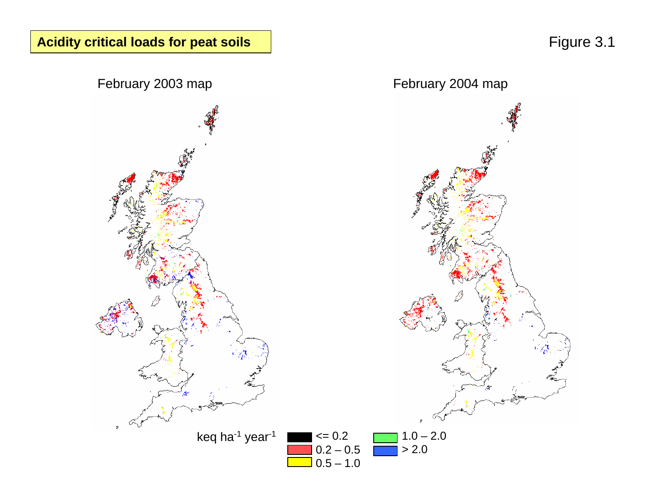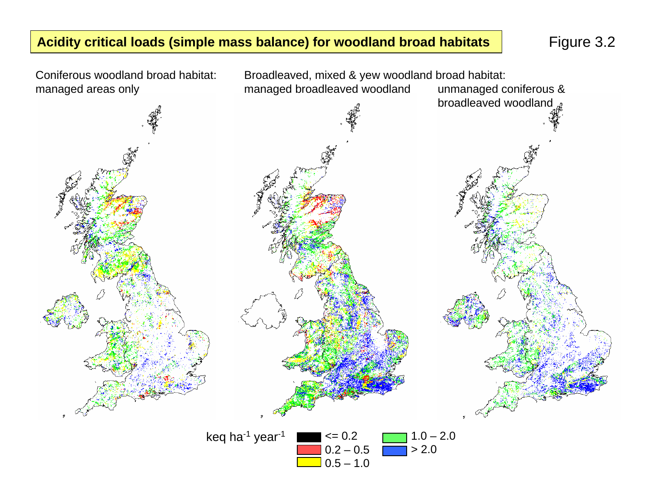### **Acidity critical loads (simple mass balance) for woodland broad habitats** Figure 3.2

Coniferous woodland broad habitat: managed areas only



0.5 – 1.0

Broadleaved, mixed & yew woodland broad habitat: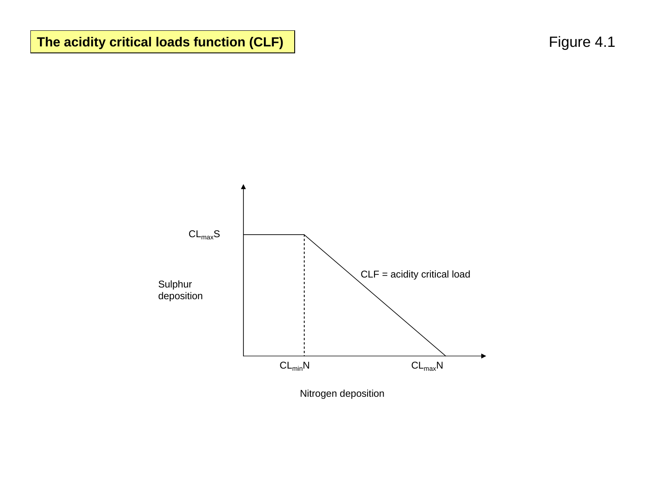The acidity critical loads function (CLF) **Figure 4.1** Figure 4.1

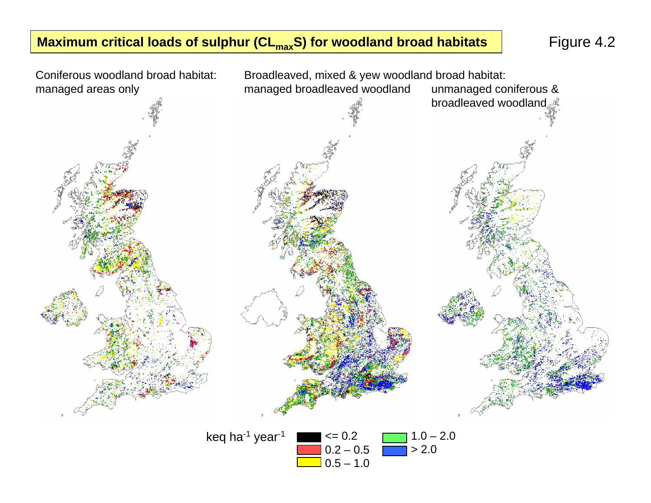# **Maximum critical loads of sulphur (CL<sub>max</sub>S) for woodland broad habitats | Figure 4.2**



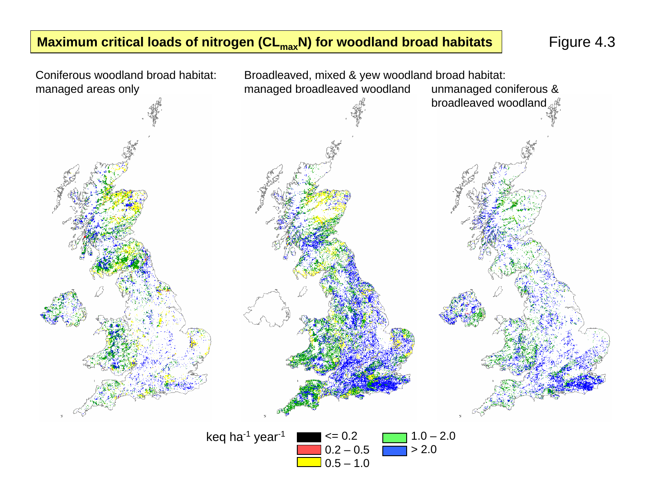# **Maximum critical loads of nitrogen (CL<sub>max</sub>N) for woodland broad habitats** Figure 4.3

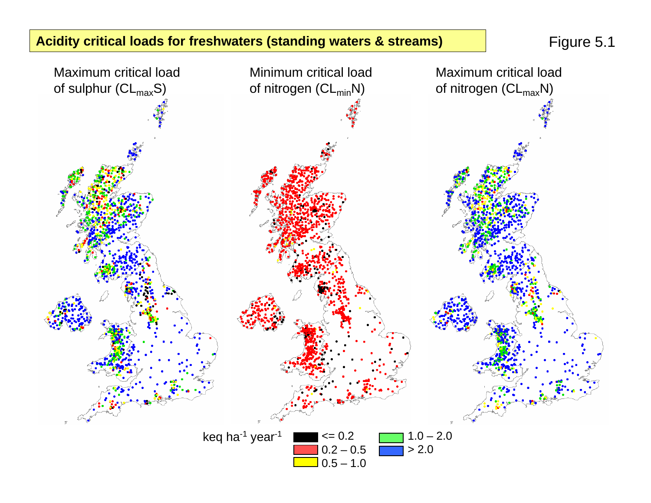# **Acidity critical loads for freshwaters (standing waters & streams)** Figure 5.1

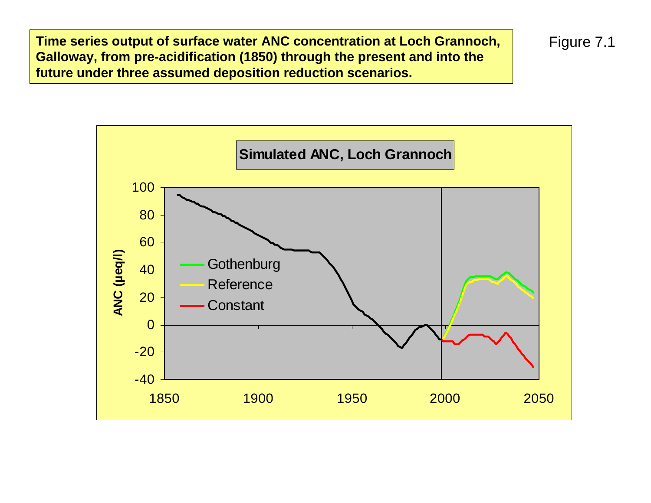**Time series output of surface water ANC concentration at Loch Grannoch, Galloway, from pre-acidification (1850) through the present and into the future under three assumed deposition reduction scenarios.**



Figure 7.1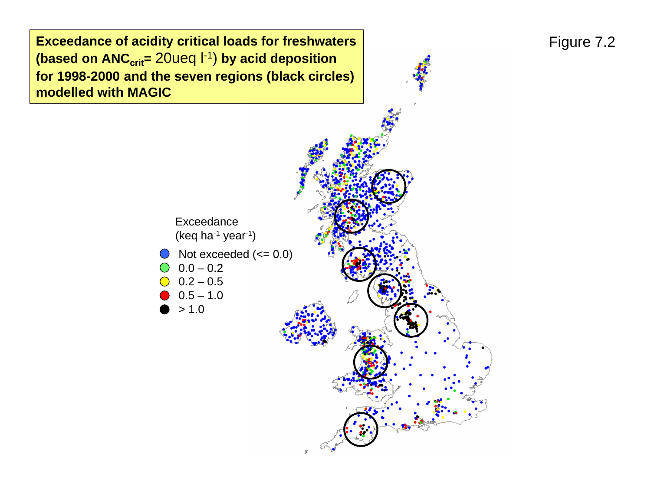**Exceedance of acidity critical loads for freshwaters (based on ANC<sub>crit</sub>= 20ueq l-1) by acid deposition for 1998-2000 and the seven regions (black circles) modelled with MAGIC**

> 1.0



# Figure 7.2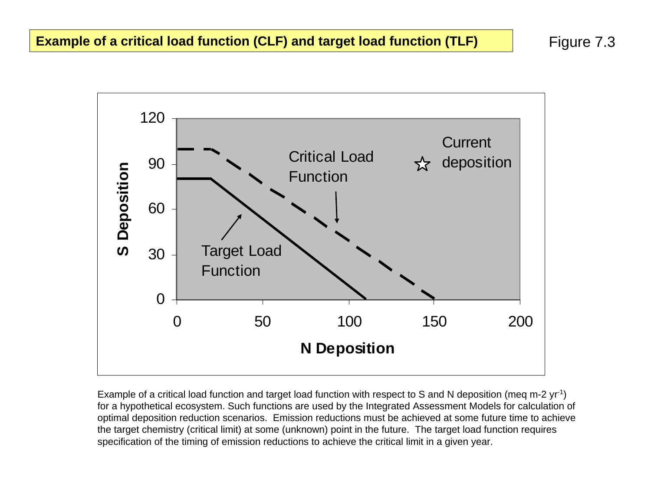Figure 7.3



Example of a critical load function and target load function with respect to S and N deposition (meg m-2 yr<sup>-1</sup>) for a hypothetical ecosystem. Such functions are used by the Integrated Assessment Models for calculation of optimal deposition reduction scenarios. Emission reductions must be achieved at some future time to achieve the target chemistry (critical limit) at some (unknown) point in the future. The target load function requires specification of the timing of emission reductions to achieve the critical limit in a given year.